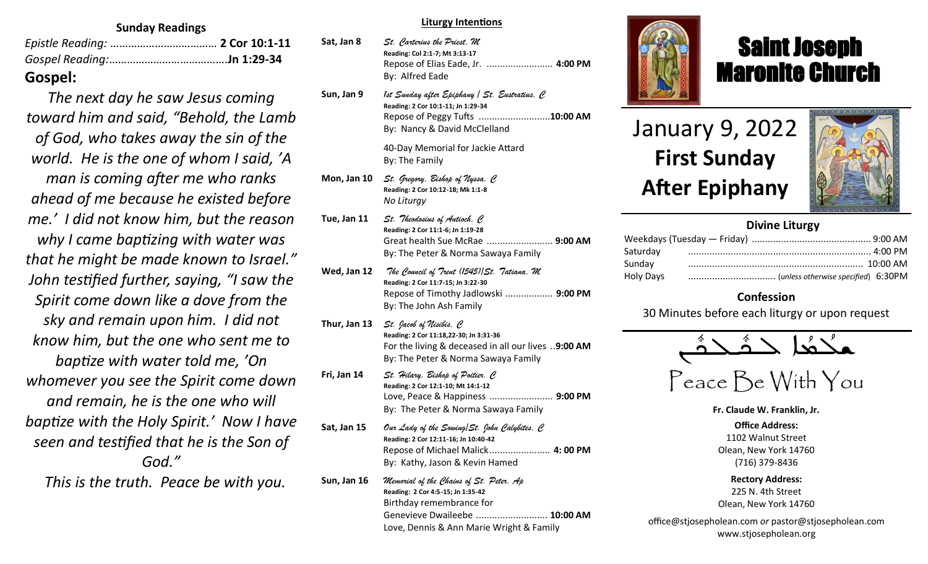#### **Sunday Readings**

| Gospel: |  |
|---------|--|

*The next day he saw Jesus coming toward him and said, "Behold, the Lamb of God, who takes away the sin of the world. He is the one of whom I said, 'A man is coming after me who ranks ahead of me because he existed before me.' I did not know him, but the reason why I came baptizing with water was that he might be made known to Israel." John testified further, saying, "I saw the Spirit come down like a dove from the sky and remain upon him. I did not know him, but the one who sent me to baptize with water told me, 'On whomever you see the Spirit come down and remain, he is the one who will baptize with the Holy Spirit.' Now I have seen and testified that he is the Son of God."*

 *This is the truth. Peace be with you.*

#### **Liturgy Intentions**

| Sat, Jan 8 | St. Carterius the Priest, M<br>Reading: Col 2:1-7; Mt 3:13-17<br>Repose of Elias Eade, Jr.  4:00 PM<br>By: Alfred Eade |  |
|------------|------------------------------------------------------------------------------------------------------------------------|--|
|            |                                                                                                                        |  |

**Sun, Jan 9** *1st Sunday after Epiphany / St. Eustratius, C* **Reading: 2 Cor 10:1-11; Jn 1:29-34** Repose of Peggy Tufts ...........................**10:00 AM** By: Nancy & David McClelland

> 40-Day Memorial for Jackie Attard By: The Family

- **Mon, Jan 10** *St. Gregory, Bishop of Nyssa, C* **Reading: 2 Cor 10:12-18; Mk 1:1-8** *No Liturgy*
- **Tue, Jan 11** *St. Theodosius of Antioch, C* **Reading: 2 Cor 11:1-6; Jn 1:19-28** Great health Sue McRae ......................... **9:00 AM** By: The Peter & Norma Sawaya Family
- **Wed, Jan 12** *The Council of Trent (1545)/St. Tatiana, M* **Reading: 2 Cor 11:7-15; Jn 3:22-30** Repose of Timothy Jadlowski .................. **9:00 PM** By: The John Ash Family
- **Thur, Jan 13** *St. Jacob of Nisibis, C* **Reading: 2 Cor 11:18,22-30; Jn 3:31-36** For the living & deceased in all our lives ..**9:00 AM**  By: The Peter & Norma Sawaya Family
- **Fri, Jan 14** *St. Hilary, Bishop of Poitier, C* **Reading: 2 Cor 12:1-10; Mt 14:1-12** Love, Peace & Happiness ........................ **9:00 PM** By: The Peter & Norma Sawaya Family
- **Sat, Jan 15** *Our Lady of the Sowing/St. John Calybites, C*  **Reading: 2 Cor 12:11-16; Jn 10:40-42** Repose of Michael Malick....................... **4: 00 PM** By: Kathy, Jason & Kevin Hamed
- **Sun, Jan 16** *Memorial of the Chains of St. Peter, Ap*  **Reading: 2 Cor 4:5-15; Jn 1:35-42** Birthday remembrance for Genevieve Dwaileebe ........................... **10:00 AM** Love, Dennis & Ann Marie Wright & Family



# Saint Joseph Maronite Church

# January 9, 2022 **First Sunday After Epiphany**

ī



### **Divine Liturgy**

| Saturday  |  |
|-----------|--|
| Sunday    |  |
| Holy Days |  |

### **Confession**

30 Minutes before each liturgy or upon request

$$
\overbrace{\text{maximize}}^{\text{max}} \angle
$$

Peace Be With You

**Fr. Claude W. Franklin, Jr.**

**Office Address:** 1102 Walnut Street Olean, New York 14760 (716) 379-8436

**Rectory Address:** 225 N. 4th Street Olean, New York 14760

office@stjosepholean.com *or* pastor@stjosepholean.com www.stjosepholean.org